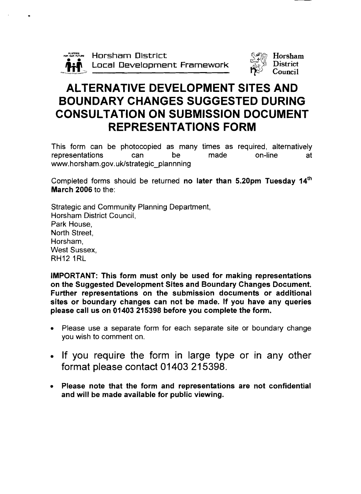



# ALTERNATIVE DEVELOPMENT SITES AND BOUNDARY CHANGES SUGGESTED DURING CONSULTATION ON SUBMISSION DOCUMENT REPRESENTATIONS FORM

This form can be photocopied as many times as required, alternatively representations can be made on-line at www.horsham.gov.uk/strategic\_plannning

Completed forms should be returned no later than  $5.20$ pm Tuesday  $14<sup>th</sup>$ March 2006 to the:

Strategic and Community Planning Department, Horsham District Council, Park House, North Street, Horsham, West Sussex, RH12 IRL

IMPORTANT: This form must only be used for making representations on the Suggested Development Sites and Boundary Changes Document. Further representations on the submission documents or additional sites or boundary changes can not be made. If you have any queries please call us on 01403 215398 before you complete the form.

- Please use a separate form for each separate site or boundary change you wish to comment on.
- If you require the form in large type or in any other format please contact 01403 215398.
- Please note that the form and representations are not confidential and will be made available for public viewing.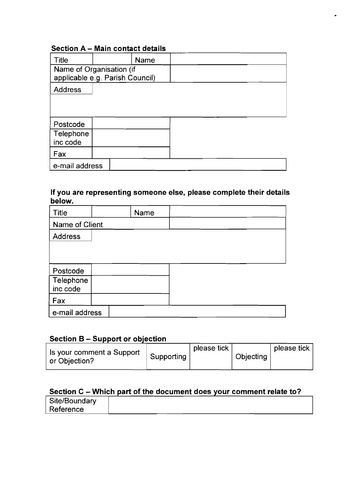## **Section A** - **Main contact details**

| <b>Title</b><br>Name<br>Name of Organisation (if<br>applicable e.g. Parish Council) |  |  |  |
|-------------------------------------------------------------------------------------|--|--|--|
| <b>Address</b>                                                                      |  |  |  |
| Postcode                                                                            |  |  |  |
| Telephone<br>inc code                                                               |  |  |  |
| Fax                                                                                 |  |  |  |
| e-mail address                                                                      |  |  |  |

### **If you are representing someone else, please complete their details below.**

| <b>Title</b>   |  | Name |  |  |
|----------------|--|------|--|--|
| Name of Client |  |      |  |  |
| <b>Address</b> |  |      |  |  |
|                |  |      |  |  |
|                |  |      |  |  |
| Postcode       |  |      |  |  |
| Telephone      |  |      |  |  |
| inc code       |  |      |  |  |
| Fax            |  |      |  |  |
| e-mail address |  |      |  |  |

## **Section B - Support or objection**

| Is your comment a Support<br>or Objection? | Supporting | please tick | <sup>'</sup> Objecting | $\perp$ please tick, |
|--------------------------------------------|------------|-------------|------------------------|----------------------|
|--------------------------------------------|------------|-------------|------------------------|----------------------|

## **Section C - Which part of the document does your comment relate to?**

| Site/Boundary |  |  |
|---------------|--|--|
| Reference     |  |  |